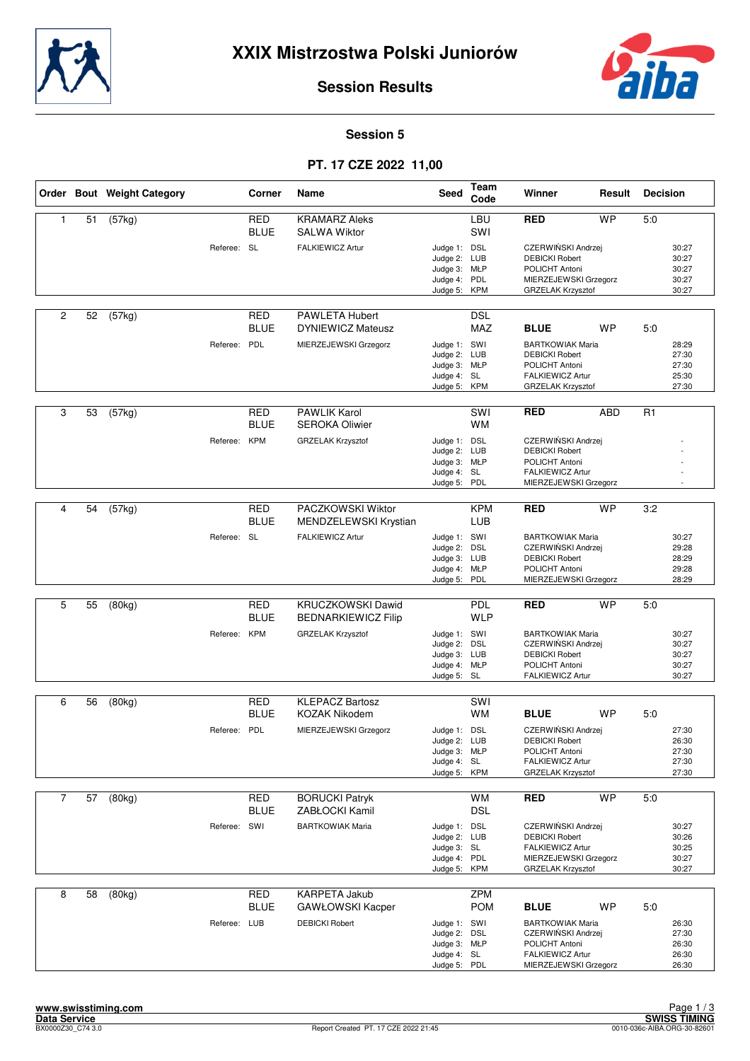



### **Session 5**

# **PT. 17 CZE 2022 11,00**

|                |    | Order Bout Weight Category |              | Corner                    | Name                                            | <b>Seed</b>                                                                  | Team<br>Code             | Winner                                                                                                              | Result     | <b>Decision</b> |                                           |
|----------------|----|----------------------------|--------------|---------------------------|-------------------------------------------------|------------------------------------------------------------------------------|--------------------------|---------------------------------------------------------------------------------------------------------------------|------------|-----------------|-------------------------------------------|
| $\mathbf{1}$   | 51 | (57kg)                     |              | <b>RED</b><br><b>BLUE</b> | <b>KRAMARZ Aleks</b><br><b>SALWA Wiktor</b>     |                                                                              | LBU<br>SWI               | <b>RED</b>                                                                                                          | <b>WP</b>  | 5.0             |                                           |
|                |    |                            | Referee: SL  |                           | <b>FALKIEWICZ Artur</b>                         | Judge 1: DSL<br>Judge 2: LUB<br>Judge 3: MŁP<br>Judge 4: PDL<br>Judge 5: KPM |                          | CZERWIŃSKI Andrzej<br><b>DEBICKI Robert</b><br>POLICHT Antoni<br>MIERZEJEWSKI Grzegorz<br>GRZELAK Krzysztof         |            |                 | 30:27<br>30:27<br>30:27<br>30:27<br>30:27 |
| $\overline{c}$ | 52 | (57kg)                     |              | RED<br><b>BLUE</b>        | PAWLETA Hubert<br><b>DYNIEWICZ Mateusz</b>      |                                                                              | <b>DSL</b><br>MAZ        | <b>BLUE</b>                                                                                                         | <b>WP</b>  | 5:0             |                                           |
|                |    |                            | Referee:     | PDL                       | MIERZEJEWSKI Grzegorz                           | Judge 1: SWI<br>Judge 2: LUB<br>Judge 3: MŁP<br>Judge 4: SL<br>Judge 5: KPM  |                          | <b>BARTKOWIAK Maria</b><br><b>DEBICKI Robert</b><br>POLICHT Antoni<br>FALKIEWICZ Artur<br>GRZELAK Krzysztof         |            |                 | 28:29<br>27:30<br>27:30<br>25:30<br>27:30 |
| 3              | 53 | (57kg)                     |              | <b>RED</b><br><b>BLUE</b> | <b>PAWLIK Karol</b><br><b>SEROKA Oliwier</b>    |                                                                              | SWI<br><b>WM</b>         | <b>RED</b>                                                                                                          | <b>ABD</b> | R1              |                                           |
|                |    |                            | Referee: KPM |                           | <b>GRZELAK Krzysztof</b>                        | Judge 1: DSL<br>Judge 2: LUB<br>Judge 3: MŁP<br>Judge 4: SL<br>Judge 5: PDL  |                          | CZERWIŃSKI Andrzej<br><b>DEBICKI Robert</b><br>POLICHT Antoni<br>FALKIEWICZ Artur<br>MIERZEJEWSKI Grzegorz          |            |                 |                                           |
| 4              | 54 | (57kg)                     |              | <b>RED</b>                | PACZKOWSKI Wiktor                               |                                                                              | <b>KPM</b>               | <b>RED</b>                                                                                                          | <b>WP</b>  | 3:2             |                                           |
|                |    |                            |              | <b>BLUE</b>               | MENDZELEWSKI Krystian                           |                                                                              | LUB                      |                                                                                                                     |            |                 |                                           |
|                |    |                            | Referee: SL  |                           | <b>FALKIEWICZ Artur</b>                         | Judge 1: SWI<br>Judge 2: DSL<br>Judge 3: LUB<br>Judge 4: MŁP<br>Judge 5: PDL |                          | <b>BARTKOWIAK Maria</b><br>CZERWIŃSKI Andrzej<br><b>DEBICKI Robert</b><br>POLICHT Antoni<br>MIERZEJEWSKI Grzegorz   |            |                 | 30:27<br>29:28<br>28:29<br>29:28<br>28:29 |
|                |    |                            |              |                           |                                                 |                                                                              |                          |                                                                                                                     |            |                 |                                           |
| 5              | 55 | (80kg)                     |              | <b>RED</b><br><b>BLUE</b> | KRUCZKOWSKI Dawid<br><b>BEDNARKIEWICZ Filip</b> |                                                                              | <b>PDL</b><br><b>WLP</b> | <b>RED</b>                                                                                                          | <b>WP</b>  | 5:0             |                                           |
|                |    |                            | Referee: KPM |                           | <b>GRZELAK Krzysztof</b>                        | Judge 1: SWI<br>Judge 2: DSL<br>Judge 3: LUB<br>Judge 4: MŁP<br>Judge 5: SL  |                          | <b>BARTKOWIAK Maria</b><br>CZERWIŃSKI Andrzej<br><b>DEBICKI Robert</b><br>POLICHT Antoni<br>FALKIEWICZ Artur        |            |                 | 30:27<br>30:27<br>30:27<br>30:27<br>30:27 |
| 6              | 56 | (80kg)                     |              | RED                       | <b>KLEPACZ Bartosz</b>                          |                                                                              | SWI                      |                                                                                                                     |            |                 |                                           |
|                |    |                            |              | <b>BLUE</b>               | <b>KOZAK Nikodem</b>                            |                                                                              | <b>WM</b>                | <b>BLUE</b>                                                                                                         | <b>WP</b>  | 5:0             |                                           |
|                |    |                            | Referee: PDL |                           | MIERZEJEWSKI Grzegorz                           | Judge 1: DSL<br>Judge 2: LUB<br>Judge 3: MŁP<br>Judge 4: SL<br>Judge 5: KPM  |                          | CZERWIŃSKI Andrzej<br><b>DEBICKI Robert</b><br>POLICHT Antoni<br>FALKIEWICZ Artur<br>GRZELAK Krzysztof              |            |                 | 27:30<br>26:30<br>27:30<br>27:30<br>27:30 |
| $\overline{7}$ | 57 | (80kg)                     |              | RED                       | <b>BORUCKI Patryk</b>                           |                                                                              | <b>WM</b>                | <b>RED</b>                                                                                                          | <b>WP</b>  | 5:0             |                                           |
|                |    |                            |              | <b>BLUE</b>               | ZABŁOCKI Kamil                                  |                                                                              | <b>DSL</b>               |                                                                                                                     |            |                 |                                           |
|                |    |                            | Referee: SWI |                           | <b>BARTKOWIAK Maria</b>                         | Judge 1: DSL<br>Judge 2: LUB<br>Judge 3: SL<br>Judge 4: PDL<br>Judge 5: KPM  |                          | CZERWIŃSKI Andrzej<br><b>DEBICKI Robert</b><br>FALKIEWICZ Artur<br>MIERZEJEWSKI Grzegorz<br>GRZELAK Krzysztof       |            |                 | 30:27<br>30:26<br>30:25<br>30:27<br>30:27 |
| 8              | 58 | (80kg)                     |              | <b>RED</b><br><b>BLUE</b> | <b>KARPETA Jakub</b><br>GAWŁOWSKI Kacper        |                                                                              | <b>ZPM</b><br><b>POM</b> | <b>BLUE</b>                                                                                                         | <b>WP</b>  | 5:0             |                                           |
|                |    |                            | Referee: LUB |                           | <b>DEBICKI Robert</b>                           | Judge 1: SWI<br>Judge 2: DSL<br>Judge 3: MŁP<br>Judge 4: SL<br>Judge 5: PDL  |                          | <b>BARTKOWIAK Maria</b><br>CZERWIŃSKI Andrzej<br>POLICHT Antoni<br><b>FALKIEWICZ Artur</b><br>MIERZEJEWSKI Grzegorz |            |                 | 26:30<br>27:30<br>26:30<br>26:30<br>26:30 |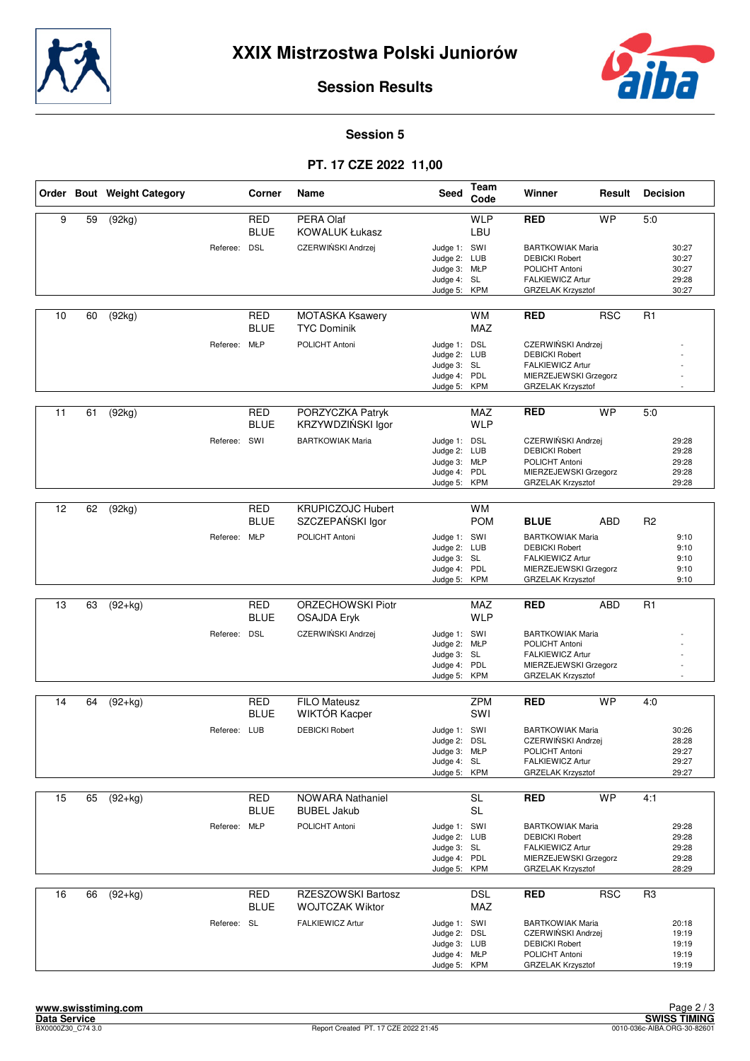



### **Session 5**

# **PT. 17 CZE 2022 11,00**

|    |    | Order Bout Weight Category |              | Corner                    | Name                                           | Seed                                                                         | Team<br>Code            | Winner                                                                                                                    | Result     | <b>Decision</b> |                                           |
|----|----|----------------------------|--------------|---------------------------|------------------------------------------------|------------------------------------------------------------------------------|-------------------------|---------------------------------------------------------------------------------------------------------------------------|------------|-----------------|-------------------------------------------|
| 9  | 59 | (92kg)                     |              | <b>RED</b><br><b>BLUE</b> | PERA Olaf<br><b>KOWALUK Łukasz</b>             |                                                                              | <b>WLP</b><br>LBU       | <b>RED</b>                                                                                                                | <b>WP</b>  | 5.0             |                                           |
|    |    |                            | Referee: DSL |                           | CZERWIŃSKI Andrzej                             | Judge 1: SWI<br>Judge 2: LUB<br>Judge 3: MŁP<br>Judge 4: SL<br>Judge 5: KPM  |                         | <b>BARTKOWIAK Maria</b><br><b>DEBICKI Robert</b><br>POLICHT Antoni<br>FALKIEWICZ Artur<br>GRZELAK Krzysztof               |            |                 | 30:27<br>30:27<br>30:27<br>29:28<br>30:27 |
| 10 | 60 | (92kg)                     |              | <b>RED</b><br><b>BLUE</b> | <b>MOTASKA Ksawery</b><br><b>TYC Dominik</b>   |                                                                              | <b>WM</b><br><b>MAZ</b> | <b>RED</b>                                                                                                                | <b>RSC</b> | R1              |                                           |
|    |    |                            | Referee: MŁP |                           | POLICHT Antoni                                 | Judge 1: DSL<br>Judge 2: LUB<br>Judge 3: SL<br>Judge 4: PDL<br>Judge 5: KPM  |                         | CZERWIŃSKI Andrzej<br><b>DEBICKI Robert</b><br>FALKIEWICZ Artur<br>MIERZEJEWSKI Grzegorz<br>GRZELAK Krzysztof             |            |                 |                                           |
| 11 | 61 | (92kg)                     |              | RED<br><b>BLUE</b>        | PORZYCZKA Patryk<br>KRZYWDZIŃSKI Igor          |                                                                              | MAZ<br><b>WLP</b>       | <b>RED</b>                                                                                                                | <b>WP</b>  | 5:0             |                                           |
|    |    |                            | Referee: SWI |                           | <b>BARTKOWIAK Maria</b>                        | Judge 1: DSL<br>Judge 2: LUB<br>Judge 3: MŁP<br>Judge 4: PDL<br>Judge 5: KPM |                         | CZERWIŃSKI Andrzej<br><b>DEBICKI Robert</b><br>POLICHT Antoni<br>MIERZEJEWSKI Grzegorz<br><b>GRZELAK Krzysztof</b>        |            |                 | 29:28<br>29:28<br>29:28<br>29:28<br>29:28 |
| 12 |    |                            |              | <b>RED</b>                | <b>KRUPICZOJC Hubert</b>                       |                                                                              | <b>WM</b>               |                                                                                                                           |            |                 |                                           |
|    | 62 | (92kg)                     |              | <b>BLUE</b>               | SZCZEPAŃSKI Igor                               |                                                                              | <b>POM</b>              | <b>BLUE</b>                                                                                                               | ABD        | R <sub>2</sub>  |                                           |
|    |    |                            | Referee: MŁP |                           | POLICHT Antoni                                 | Judge 1: SWI<br>Judge 2: LUB<br>Judge 3: SL<br>Judge 4: PDL<br>Judge 5: KPM  |                         | <b>BARTKOWIAK Maria</b><br><b>DEBICKI Robert</b><br>FALKIEWICZ Artur<br>MIERZEJEWSKI Grzegorz<br>GRZELAK Krzysztof        |            |                 | 9:10<br>9:10<br>9:10<br>9:10<br>9:10      |
|    |    |                            |              |                           |                                                |                                                                              |                         |                                                                                                                           |            |                 |                                           |
| 13 | 63 | $(92+kg)$                  |              | <b>RED</b><br><b>BLUE</b> | <b>ORZECHOWSKI Piotr</b><br><b>OSAJDA Eryk</b> |                                                                              | MAZ<br><b>WLP</b>       | <b>RED</b>                                                                                                                | ABD        | R <sub>1</sub>  |                                           |
|    |    |                            | Referee: DSL |                           | CZERWIŃSKI Andrzej                             | Judge 1: SWI<br>Judge 2: MŁP<br>Judge 3: SL<br>Judge 4: PDL<br>Judge 5: KPM  |                         | <b>BARTKOWIAK Maria</b><br>POLICHT Antoni<br>FALKIEWICZ Artur<br>MIERZEJEWSKI Grzegorz<br>GRZELAK Krzysztof               |            |                 |                                           |
| 14 | 64 | $(92+kg)$                  |              | RED                       | <b>FILO Mateusz</b>                            |                                                                              | ZPM                     | <b>RED</b>                                                                                                                | <b>WP</b>  | 4.0             |                                           |
|    |    |                            |              | <b>BLUE</b>               | WIKTÓR Kacper                                  |                                                                              | SWI                     |                                                                                                                           |            |                 |                                           |
|    |    |                            | Referee: LUB |                           | <b>DEBICKI Robert</b>                          | Judge 1: SWI<br>Judge 2:<br>Judge 3: MŁP<br>Judge 4: SL<br>Judge 5: KPM      | DSL                     | <b>BARTKOWIAK Maria</b><br>CZERWIŃSKI Andrzej<br>POLICHT Antoni<br><b>FALKIEWICZ Artur</b><br><b>GRZELAK Krzysztof</b>    |            |                 | 30:26<br>28:28<br>29:27<br>29:27<br>29:27 |
| 15 | 65 | $(92+kg)$                  |              | RED                       | NOWARA Nathaniel                               |                                                                              | SL                      | <b>RED</b>                                                                                                                | <b>WP</b>  | 4:1             |                                           |
|    |    |                            |              | <b>BLUE</b>               | <b>BUBEL Jakub</b>                             |                                                                              | <b>SL</b>               |                                                                                                                           |            |                 |                                           |
|    |    |                            | Referee: MŁP |                           | POLICHT Antoni                                 | Judge 1: SWI<br>Judge 2: LUB<br>Judge 3: SL<br>Judge 4: PDL<br>Judge 5: KPM  |                         | <b>BARTKOWIAK Maria</b><br><b>DEBICKI Robert</b><br>FALKIEWICZ Artur<br>MIERZEJEWSKI Grzegorz<br><b>GRZELAK Krzysztof</b> |            |                 | 29:28<br>29:28<br>29:28<br>29:28<br>28:29 |
| 16 | 66 | $(92+kg)$                  |              | <b>RED</b>                | RZESZOWSKI Bartosz                             |                                                                              | DSL                     | <b>RED</b>                                                                                                                | <b>RSC</b> | R3              |                                           |
|    |    |                            | Referee: SL  | <b>BLUE</b>               | <b>WOJTCZAK Wiktor</b><br>FALKIEWICZ Artur     | Judge 1: SWI<br>Judge 2: DSL<br>Judge 3: LUB<br>Judge 4: MŁP<br>Judge 5: KPM | MAZ                     | <b>BARTKOWIAK Maria</b><br>CZERWIŃSKI Andrzej<br><b>DEBICKI Robert</b><br>POLICHT Antoni<br>GRZELAK Krzysztof             |            |                 | 20:18<br>19:19<br>19:19<br>19:19<br>19:19 |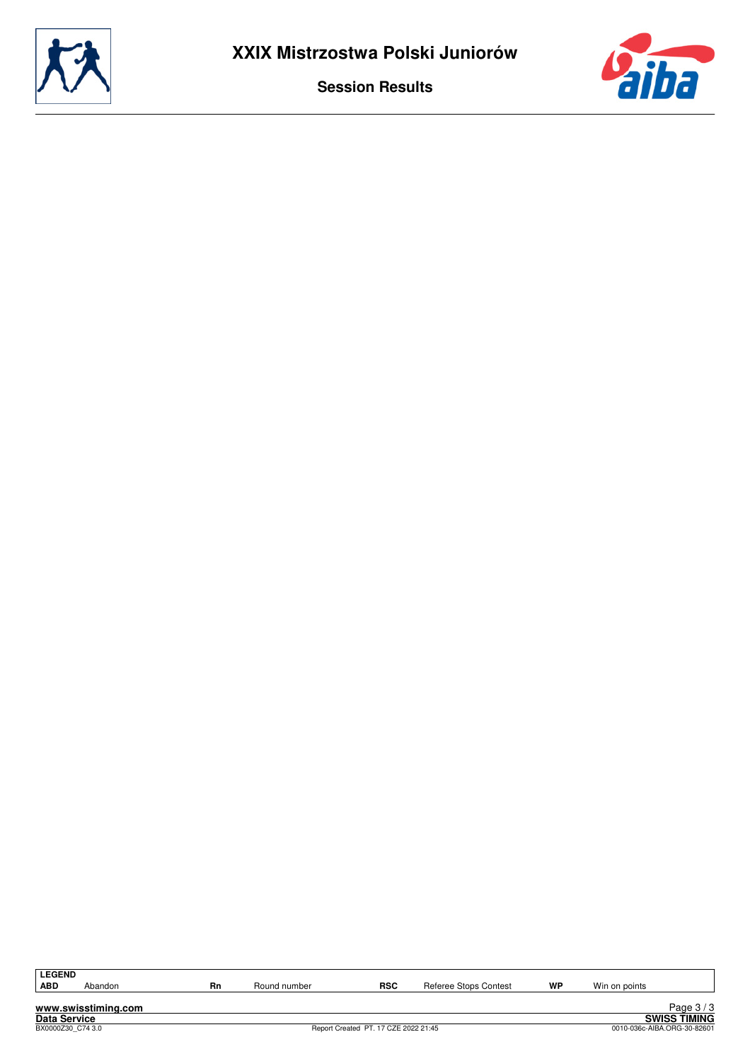



LEGEND<br>ABD

Abandon **Rn** Round number **RSC** Referee Stops Contest **WP** Win on points

**www.swisstiming.com Data Service SWISS TIMING**

8 Page 37 3.<br>SWISS TIMING<br>0010-036c-AIBA.ORG-30-82601 0010-036c-AIBA.ORG-30-82601 0010-036c-AIBA.ORG-30-82601 Page 3 / 3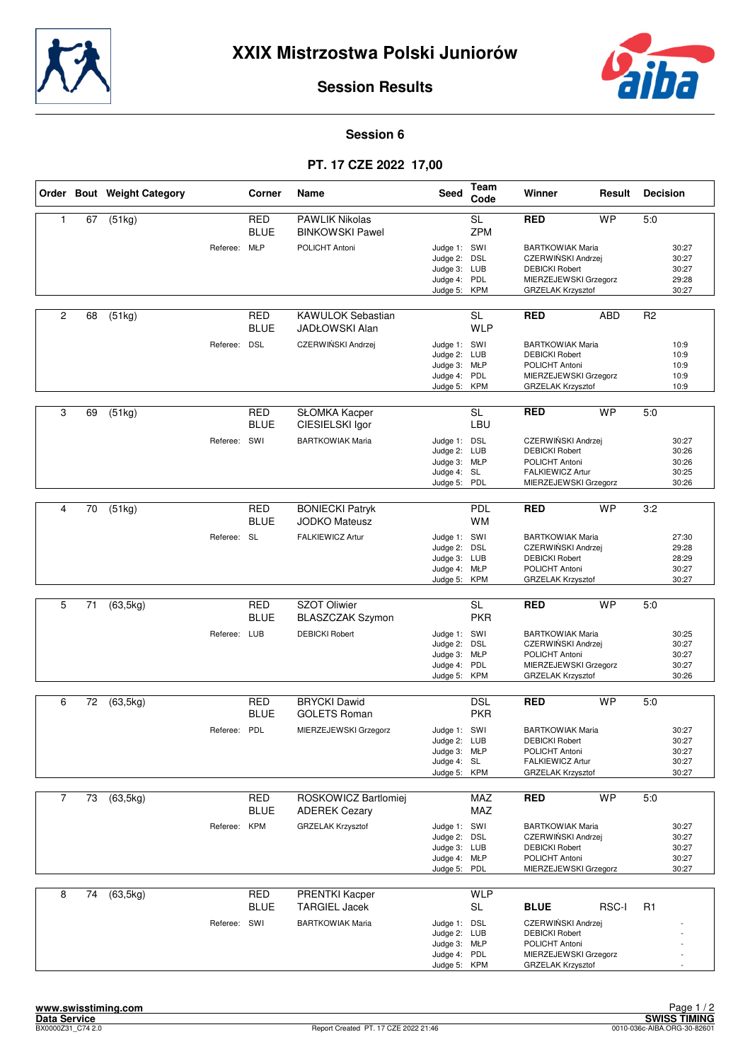



### **Session 6**

## **PT. 17 CZE 2022 17,00**

|                |    | Order Bout Weight Category |              | Corner                    | Name                                              | Seed                                                                         | Team<br>Code            | Winner                                                                                                               | Result       | <b>Decision</b> |                                           |
|----------------|----|----------------------------|--------------|---------------------------|---------------------------------------------------|------------------------------------------------------------------------------|-------------------------|----------------------------------------------------------------------------------------------------------------------|--------------|-----------------|-------------------------------------------|
| $\mathbf{1}$   | 67 | (51kg)                     |              | <b>RED</b><br><b>BLUE</b> | <b>PAWLIK Nikolas</b><br><b>BINKOWSKI Pawel</b>   |                                                                              | <b>SL</b><br><b>ZPM</b> | <b>RED</b>                                                                                                           | <b>WP</b>    | 5.0             |                                           |
|                |    |                            | Referee: MŁP |                           | POLICHT Antoni                                    | Judge 1: SWI<br>Judge 2: DSL<br>Judge 3: LUB<br>Judge 4: PDL<br>Judge 5: KPM |                         | <b>BARTKOWIAK Maria</b><br>CZERWIŃSKI Andrzej<br><b>DEBICKI Robert</b><br>MIERZEJEWSKI Grzegorz<br>GRZELAK Krzysztof |              |                 | 30:27<br>30:27<br>30:27<br>29:28<br>30:27 |
| $\overline{2}$ | 68 | (51kg)                     |              | RED<br><b>BLUE</b>        | <b>KAWULOK Sebastian</b><br><b>JADŁOWSKI Alan</b> |                                                                              | <b>SL</b><br><b>WLP</b> | <b>RED</b>                                                                                                           | ABD          | R <sub>2</sub>  |                                           |
|                |    |                            | Referee: DSL |                           | CZERWIŃSKI Andrzej                                | Judge 1: SWI<br>Judge 2: LUB<br>Judge 3: MŁP<br>Judge 4: PDL<br>Judge 5: KPM |                         | <b>BARTKOWIAK Maria</b><br><b>DEBICKI Robert</b><br>POLICHT Antoni<br>MIERZEJEWSKI Grzegorz<br>GRZELAK Krzysztof     |              |                 | 10:9<br>10:9<br>10:9<br>10:9<br>10:9      |
| 3              | 69 | (51kg)                     |              | <b>RED</b><br><b>BLUE</b> | SŁOMKA Kacper<br>CIESIELSKI Igor                  |                                                                              | <b>SL</b><br>LBU        | <b>RED</b>                                                                                                           | <b>WP</b>    | 5:0             |                                           |
|                |    |                            | Referee:     | SWI                       | <b>BARTKOWIAK Maria</b>                           | Judge 1: DSL<br>Judge 2: LUB<br>Judge 3: MŁP<br>Judge 4: SL<br>Judge 5:      | PDL                     | CZERWIŃSKI Andrzej<br><b>DEBICKI Robert</b><br>POLICHT Antoni<br>FALKIEWICZ Artur<br>MIERZEJEWSKI Grzegorz           |              |                 | 30:27<br>30:26<br>30:26<br>30:25<br>30:26 |
| 4              | 70 | (51kg)                     |              | <b>RED</b>                | <b>BONIECKI Patryk</b>                            |                                                                              | <b>PDL</b>              | <b>RED</b>                                                                                                           | <b>WP</b>    | 3:2             |                                           |
|                |    |                            | Referee: SL  | BLUE                      | <b>JODKO Mateusz</b><br><b>FALKIEWICZ Artur</b>   | Judge 1: SWI<br>Judge 2:<br>Judge 3: LUB<br>Judge 4: MŁP<br>Judge 5: KPM     | <b>WM</b><br>DSL        | <b>BARTKOWIAK Maria</b><br>CZERWIŃSKI Andrzej<br><b>DEBICKI Robert</b><br>POLICHT Antoni<br>GRZELAK Krzysztof        |              |                 | 27:30<br>29:28<br>28:29<br>30:27<br>30:27 |
|                |    |                            |              |                           |                                                   |                                                                              |                         |                                                                                                                      |              |                 |                                           |
| 5              | 71 | (63, 5kg)                  |              | <b>RED</b><br><b>BLUE</b> | <b>SZOT Oliwier</b><br><b>BLASZCZAK Szymon</b>    |                                                                              | <b>SL</b><br><b>PKR</b> | <b>RED</b>                                                                                                           | <b>WP</b>    | 5:0             |                                           |
|                |    |                            | Referee: LUB |                           | <b>DEBICKI Robert</b>                             | Judge 1: SWI<br>Judge 2: DSL<br>Judge 3: MŁP<br>Judge 4: PDL<br>Judge 5:     | <b>KPM</b>              | <b>BARTKOWIAK Maria</b><br>CZERWIŃSKI Andrzej<br>POLICHT Antoni<br>MIERZEJEWSKI Grzegorz<br>GRZELAK Krzysztof        |              |                 | 30:25<br>30:27<br>30:27<br>30:27<br>30:26 |
| 6              | 72 | (63, 5kg)                  |              | <b>RED</b>                | <b>BRYCKI Dawid</b>                               |                                                                              | <b>DSL</b>              | <b>RED</b>                                                                                                           | <b>WP</b>    | 5.0             |                                           |
|                |    |                            |              | <b>BLUE</b>               | <b>GOLETS Roman</b>                               |                                                                              | <b>PKR</b>              |                                                                                                                      |              |                 |                                           |
|                |    |                            | Referee: PDL |                           | MIERZEJEWSKI Grzegorz                             | Judge 1: SWI<br>Judge 2: LUB<br>Judge 3: MŁP<br>Judge 4: SL<br>Judge 5: KPM  |                         | <b>BARTKOWIAK Maria</b><br><b>DEBICKI Robert</b><br>POLICHT Antoni<br>FALKIEWICZ Artur<br>GRZELAK Krzysztof          |              |                 | 30:27<br>30:27<br>30:27<br>30:27<br>30:27 |
| $\overline{7}$ | 73 | (63, 5kg)                  |              | RED                       | ROSKOWICZ Bartlomiej                              |                                                                              | MAZ                     | <b>RED</b>                                                                                                           | <b>WP</b>    | 5:0             |                                           |
|                |    |                            |              | <b>BLUE</b>               | <b>ADEREK Cezary</b>                              |                                                                              | MAZ                     |                                                                                                                      |              |                 |                                           |
|                |    |                            | Referee: KPM |                           | <b>GRZELAK Krzysztof</b>                          | Judge 1: SWI<br>Judge 2: DSL<br>Judge 3: LUB<br>Judge 4: MŁP<br>Judge 5:     | PDL                     | <b>BARTKOWIAK Maria</b><br>CZERWIŃSKI Andrzej<br><b>DEBICKI Robert</b><br>POLICHT Antoni<br>MIERZEJEWSKI Grzegorz    |              |                 | 30:27<br>30:27<br>30:27<br>30:27<br>30:27 |
| 8              | 74 | (63, 5kg)                  |              | <b>RED</b><br><b>BLUE</b> | <b>PRENTKI Kacper</b><br><b>TARGIEL Jacek</b>     |                                                                              | <b>WLP</b><br>SL        | <b>BLUE</b>                                                                                                          | <b>RSC-I</b> | R1              |                                           |
|                |    |                            | Referee: SWI |                           | <b>BARTKOWIAK Maria</b>                           | Judge 1: DSL<br>Judge 2: LUB<br>Judge 3: MŁP<br>Judge 4: PDL<br>Judge 5: KPM |                         | CZERWIŃSKI Andrzej<br><b>DEBICKI Robert</b><br>POLICHT Antoni<br>MIERZEJEWSKI Grzegorz<br>GRZELAK Krzysztof          |              |                 |                                           |